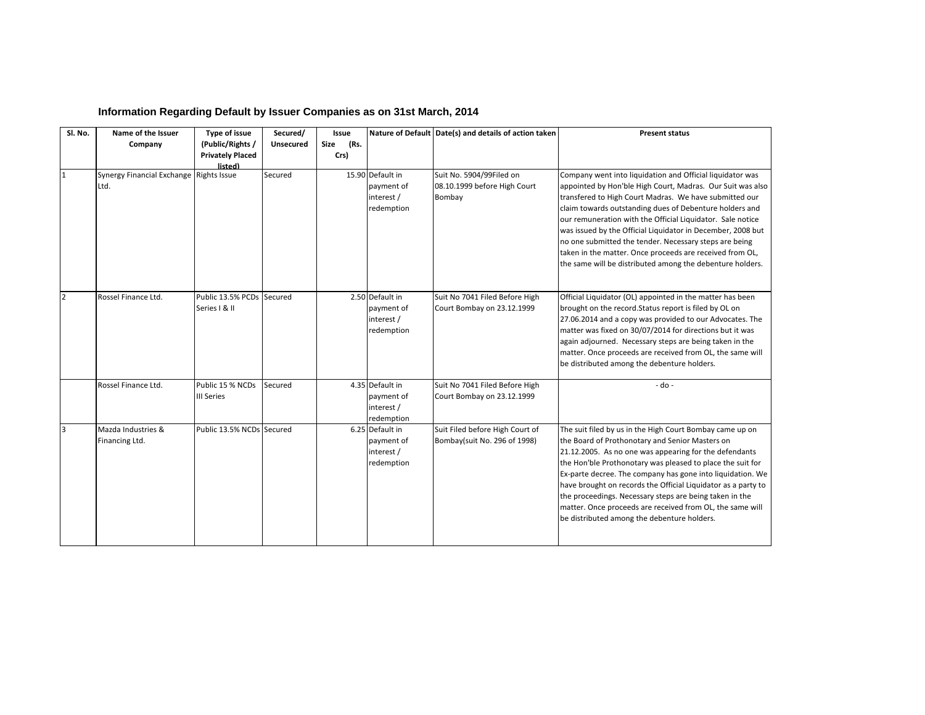| Sl. No.        | Name of the Issuer                              | Type of issue                                          | Secured/  | Issue                |                                                            | Nature of Default Date(s) and details of action taken              | <b>Present status</b>                                                                                                                                                                                                                                                                                                                                                                                                                                                                                                                                        |
|----------------|-------------------------------------------------|--------------------------------------------------------|-----------|----------------------|------------------------------------------------------------|--------------------------------------------------------------------|--------------------------------------------------------------------------------------------------------------------------------------------------------------------------------------------------------------------------------------------------------------------------------------------------------------------------------------------------------------------------------------------------------------------------------------------------------------------------------------------------------------------------------------------------------------|
|                | Company                                         | (Public/Rights /<br><b>Privately Placed</b><br>listed) | Unsecured | (Rs.<br>Size<br>Crs) |                                                            |                                                                    |                                                                                                                                                                                                                                                                                                                                                                                                                                                                                                                                                              |
| 1              | Synergy Financial Exchange Rights Issue<br>Ltd. |                                                        | Secured   |                      | 15.90 Default in<br>payment of<br>interest /<br>redemption | Suit No. 5904/99Filed on<br>08.10.1999 before High Court<br>Bombay | Company went into liquidation and Official liquidator was<br>appointed by Hon'ble High Court, Madras. Our Suit was also<br>transfered to High Court Madras. We have submitted our<br>claim towards outstanding dues of Debenture holders and<br>our remuneration with the Official Liquidator. Sale notice<br>was issued by the Official Liquidator in December, 2008 but<br>no one submitted the tender. Necessary steps are being<br>taken in the matter. Once proceeds are received from OL,<br>the same will be distributed among the debenture holders. |
| $\overline{2}$ | Rossel Finance Ltd.                             | Public 13.5% PCDs Secured<br>Series   & II             |           |                      | 2.50 Default in<br>payment of<br>interest /<br>redemption  | Suit No 7041 Filed Before High<br>Court Bombay on 23.12.1999       | Official Liquidator (OL) appointed in the matter has been<br>brought on the record. Status report is filed by OL on<br>27.06.2014 and a copy was provided to our Advocates. The<br>matter was fixed on 30/07/2014 for directions but it was<br>again adjourned. Necessary steps are being taken in the<br>matter. Once proceeds are received from OL, the same will<br>be distributed among the debenture holders.                                                                                                                                           |
|                | Rossel Finance Ltd.                             | Public 15 % NCDs<br><b>III Series</b>                  | Secured   |                      | 4.35 Default in<br>payment of<br>interest /<br>redemption  | Suit No 7041 Filed Before High<br>Court Bombay on 23.12.1999       | $-do -$                                                                                                                                                                                                                                                                                                                                                                                                                                                                                                                                                      |
| 3              | Mazda Industries &<br>Financing Ltd.            | Public 13.5% NCDs Secured                              |           |                      | 6.25 Default in<br>payment of<br>interest /<br>redemption  | Suit Filed before High Court of<br>Bombay(suit No. 296 of 1998)    | The suit filed by us in the High Court Bombay came up on<br>the Board of Prothonotary and Senior Masters on<br>21.12.2005. As no one was appearing for the defendants<br>the Hon'ble Prothonotary was pleased to place the suit for<br>Ex-parte decree. The company has gone into liquidation. We<br>have brought on records the Official Liquidator as a party to<br>the proceedings. Necessary steps are being taken in the<br>matter. Once proceeds are received from OL, the same will<br>be distributed among the debenture holders.                    |

## **Information Regarding Default by Issuer Companies as on 31st March, 2014**